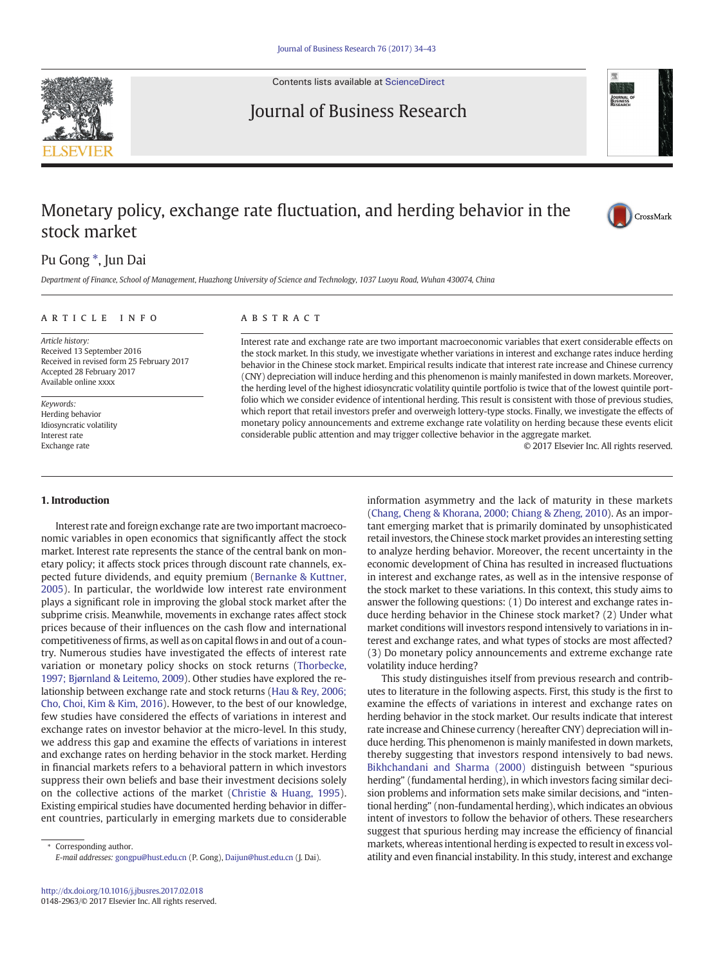

Contents lists available at [ScienceDirect](http://www.sciencedirect.com/science/journal/01482963)

# Journal of Business Research



# Monetary policy, exchange rate fluctuation, and herding behavior in the stock market



## Pu Gong<sup>\*</sup>, Jun Dai

Department of Finance, School of Management, Huazhong University of Science and Technology, 1037 Luoyu Road, Wuhan 430074, China

#### article info abstract

Article history: Received 13 September 2016 Received in revised form 25 February 2017 Accepted 28 February 2017 Available online xxxx

Keywords: Herding behavior Idiosyncratic volatility Interest rate Exchange rate

### 1. Introduction

Interest rate and foreign exchange rate are two important macroeconomic variables in open economics that significantly affect the stock market. Interest rate represents the stance of the central bank on monetary policy; it affects stock prices through discount rate channels, expected future dividends, and equity premium [\(Bernanke & Kuttner,](#page-9-0) [2005](#page-9-0)). In particular, the worldwide low interest rate environment plays a significant role in improving the global stock market after the subprime crisis. Meanwhile, movements in exchange rates affect stock prices because of their influences on the cash flow and international competitiveness of firms, as well as on capital flows in and out of a country. Numerous studies have investigated the effects of interest rate variation or monetary policy shocks on stock returns ([Thorbecke,](#page-9-0) [1997; Bjørnland & Leitemo, 2009](#page-9-0)). Other studies have explored the relationship between exchange rate and stock returns [\(Hau & Rey, 2006;](#page-9-0) [Cho, Choi, Kim & Kim, 2016\)](#page-9-0). However, to the best of our knowledge, few studies have considered the effects of variations in interest and exchange rates on investor behavior at the micro-level. In this study, we address this gap and examine the effects of variations in interest and exchange rates on herding behavior in the stock market. Herding in financial markets refers to a behavioral pattern in which investors suppress their own beliefs and base their investment decisions solely on the collective actions of the market [\(Christie & Huang, 1995](#page-9-0)). Existing empirical studies have documented herding behavior in different countries, particularly in emerging markets due to considerable

Interest rate and exchange rate are two important macroeconomic variables that exert considerable effects on the stock market. In this study, we investigate whether variations in interest and exchange rates induce herding behavior in the Chinese stock market. Empirical results indicate that interest rate increase and Chinese currency (CNY) depreciation will induce herding and this phenomenon is mainly manifested in down markets. Moreover, the herding level of the highest idiosyncratic volatility quintile portfolio is twice that of the lowest quintile portfolio which we consider evidence of intentional herding. This result is consistent with those of previous studies, which report that retail investors prefer and overweigh lottery-type stocks. Finally, we investigate the effects of monetary policy announcements and extreme exchange rate volatility on herding because these events elicit considerable public attention and may trigger collective behavior in the aggregate market.

© 2017 Elsevier Inc. All rights reserved.

information asymmetry and the lack of maturity in these markets [\(Chang, Cheng & Khorana, 2000; Chiang & Zheng, 2010\)](#page-9-0). As an important emerging market that is primarily dominated by unsophisticated retail investors, the Chinese stock market provides an interesting setting to analyze herding behavior. Moreover, the recent uncertainty in the economic development of China has resulted in increased fluctuations in interest and exchange rates, as well as in the intensive response of the stock market to these variations. In this context, this study aims to answer the following questions: (1) Do interest and exchange rates induce herding behavior in the Chinese stock market? (2) Under what market conditions will investors respond intensively to variations in interest and exchange rates, and what types of stocks are most affected? (3) Do monetary policy announcements and extreme exchange rate volatility induce herding?

This study distinguishes itself from previous research and contributes to literature in the following aspects. First, this study is the first to examine the effects of variations in interest and exchange rates on herding behavior in the stock market. Our results indicate that interest rate increase and Chinese currency (hereafter CNY) depreciation will induce herding. This phenomenon is mainly manifested in down markets, thereby suggesting that investors respond intensively to bad news. [Bikhchandani and Sharma \(2000\)](#page-9-0) distinguish between "spurious herding" (fundamental herding), in which investors facing similar decision problems and information sets make similar decisions, and "intentional herding" (non-fundamental herding), which indicates an obvious intent of investors to follow the behavior of others. These researchers suggest that spurious herding may increase the efficiency of financial markets, whereas intentional herding is expected to result in excess volatility and even financial instability. In this study, interest and exchange

Corresponding author. E-mail addresses: gongpu@hust.edu.cn (P. Gong), [Daijun@hust.edu.cn](mailto:Daijun@hust.edu.cn) (J. Dai).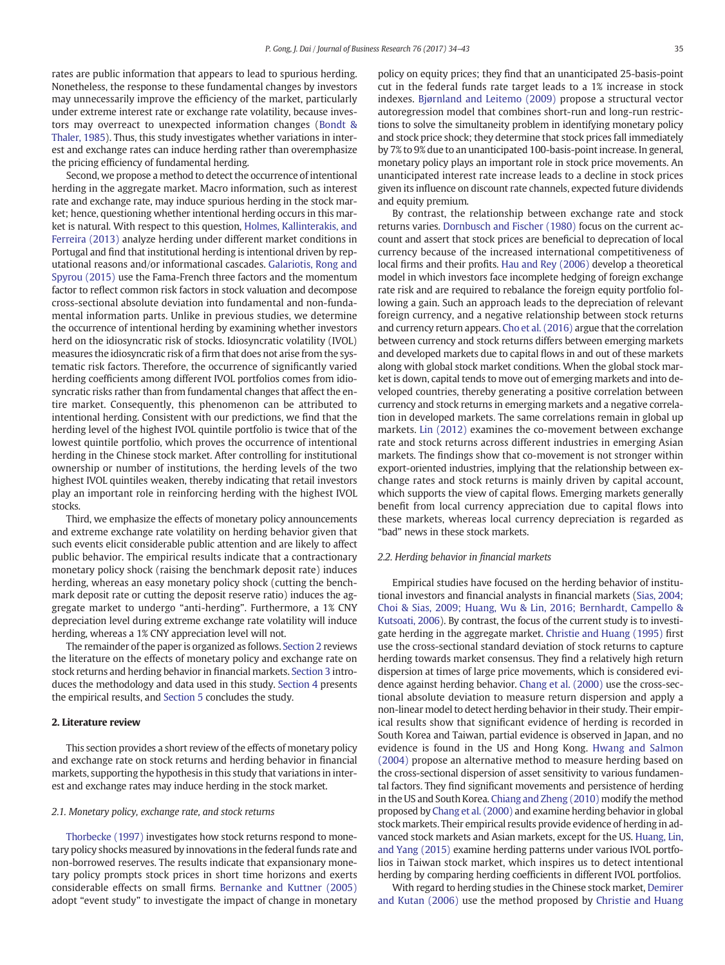rates are public information that appears to lead to spurious herding. Nonetheless, the response to these fundamental changes by investors may unnecessarily improve the efficiency of the market, particularly under extreme interest rate or exchange rate volatility, because investors may overreact to unexpected information changes [\(Bondt &](#page-9-0) [Thaler, 1985](#page-9-0)). Thus, this study investigates whether variations in interest and exchange rates can induce herding rather than overemphasize the pricing efficiency of fundamental herding.

Second, we propose a method to detect the occurrence of intentional herding in the aggregate market. Macro information, such as interest rate and exchange rate, may induce spurious herding in the stock market; hence, questioning whether intentional herding occurs in this market is natural. With respect to this question, [Holmes, Kallinterakis, and](#page-9-0) [Ferreira \(2013\)](#page-9-0) analyze herding under different market conditions in Portugal and find that institutional herding is intentional driven by reputational reasons and/or informational cascades. [Galariotis, Rong and](#page-9-0) [Spyrou \(2015\)](#page-9-0) use the Fama-French three factors and the momentum factor to reflect common risk factors in stock valuation and decompose cross-sectional absolute deviation into fundamental and non-fundamental information parts. Unlike in previous studies, we determine the occurrence of intentional herding by examining whether investors herd on the idiosyncratic risk of stocks. Idiosyncratic volatility (IVOL) measures the idiosyncratic risk of a firm that does not arise from the systematic risk factors. Therefore, the occurrence of significantly varied herding coefficients among different IVOL portfolios comes from idiosyncratic risks rather than from fundamental changes that affect the entire market. Consequently, this phenomenon can be attributed to intentional herding. Consistent with our predictions, we find that the herding level of the highest IVOL quintile portfolio is twice that of the lowest quintile portfolio, which proves the occurrence of intentional herding in the Chinese stock market. After controlling for institutional ownership or number of institutions, the herding levels of the two highest IVOL quintiles weaken, thereby indicating that retail investors play an important role in reinforcing herding with the highest IVOL stocks.

Third, we emphasize the effects of monetary policy announcements and extreme exchange rate volatility on herding behavior given that such events elicit considerable public attention and are likely to affect public behavior. The empirical results indicate that a contractionary monetary policy shock (raising the benchmark deposit rate) induces herding, whereas an easy monetary policy shock (cutting the benchmark deposit rate or cutting the deposit reserve ratio) induces the aggregate market to undergo "anti-herding". Furthermore, a 1% CNY depreciation level during extreme exchange rate volatility will induce herding, whereas a 1% CNY appreciation level will not.

The remainder of the paper is organized as follows. Section 2 reviews the literature on the effects of monetary policy and exchange rate on stock returns and herding behavior in financial markets. [Section 3](#page-2-0) introduces the methodology and data used in this study. [Section 4](#page-3-0) presents the empirical results, and [Section 5](#page-7-0) concludes the study.

#### 2. Literature review

This section provides a short review of the effects of monetary policy and exchange rate on stock returns and herding behavior in financial markets, supporting the hypothesis in this study that variations in interest and exchange rates may induce herding in the stock market.

#### 2.1. Monetary policy, exchange rate, and stock returns

[Thorbecke \(1997\)](#page-9-0) investigates how stock returns respond to monetary policy shocks measured by innovations in the federal funds rate and non-borrowed reserves. The results indicate that expansionary monetary policy prompts stock prices in short time horizons and exerts considerable effects on small firms. [Bernanke and Kuttner \(2005\)](#page-9-0) adopt "event study" to investigate the impact of change in monetary policy on equity prices; they find that an unanticipated 25-basis-point cut in the federal funds rate target leads to a 1% increase in stock indexes. [Bjørnland and Leitemo \(2009\)](#page-9-0) propose a structural vector autoregression model that combines short-run and long-run restrictions to solve the simultaneity problem in identifying monetary policy and stock price shock; they determine that stock prices fall immediately by 7% to 9% due to an unanticipated 100-basis-point increase. In general, monetary policy plays an important role in stock price movements. An unanticipated interest rate increase leads to a decline in stock prices given its influence on discount rate channels, expected future dividends and equity premium.

By contrast, the relationship between exchange rate and stock returns varies. [Dornbusch and Fischer \(1980\)](#page-9-0) focus on the current account and assert that stock prices are beneficial to deprecation of local currency because of the increased international competitiveness of local firms and their profits. [Hau and Rey \(2006\)](#page-9-0) develop a theoretical model in which investors face incomplete hedging of foreign exchange rate risk and are required to rebalance the foreign equity portfolio following a gain. Such an approach leads to the depreciation of relevant foreign currency, and a negative relationship between stock returns and currency return appears. [Cho et al. \(2016\)](#page-9-0) argue that the correlation between currency and stock returns differs between emerging markets and developed markets due to capital flows in and out of these markets along with global stock market conditions. When the global stock market is down, capital tends to move out of emerging markets and into developed countries, thereby generating a positive correlation between currency and stock returns in emerging markets and a negative correlation in developed markets. The same correlations remain in global up markets. [Lin \(2012\)](#page-9-0) examines the co-movement between exchange rate and stock returns across different industries in emerging Asian markets. The findings show that co-movement is not stronger within export-oriented industries, implying that the relationship between exchange rates and stock returns is mainly driven by capital account, which supports the view of capital flows. Emerging markets generally benefit from local currency appreciation due to capital flows into these markets, whereas local currency depreciation is regarded as "bad" news in these stock markets.

#### 2.2. Herding behavior in financial markets

Empirical studies have focused on the herding behavior of institutional investors and financial analysts in financial markets [\(Sias, 2004;](#page-9-0) [Choi & Sias, 2009; Huang, Wu & Lin, 2016; Bernhardt, Campello &](#page-9-0) [Kutsoati, 2006](#page-9-0)). By contrast, the focus of the current study is to investigate herding in the aggregate market. [Christie and Huang \(1995\)](#page-9-0) first use the cross-sectional standard deviation of stock returns to capture herding towards market consensus. They find a relatively high return dispersion at times of large price movements, which is considered evidence against herding behavior. [Chang et al. \(2000\)](#page-9-0) use the cross-sectional absolute deviation to measure return dispersion and apply a non-linear model to detect herding behavior in their study. Their empirical results show that significant evidence of herding is recorded in South Korea and Taiwan, partial evidence is observed in Japan, and no evidence is found in the US and Hong Kong. [Hwang and Salmon](#page-9-0) [\(2004\)](#page-9-0) propose an alternative method to measure herding based on the cross-sectional dispersion of asset sensitivity to various fundamental factors. They find significant movements and persistence of herding in the US and South Korea. [Chiang and Zheng \(2010\)](#page-9-0) modify the method proposed by [Chang et al. \(2000\)](#page-9-0) and examine herding behavior in global stock markets. Their empirical results provide evidence of herding in advanced stock markets and Asian markets, except for the US. [Huang, Lin,](#page-9-0) [and Yang \(2015\)](#page-9-0) examine herding patterns under various IVOL portfolios in Taiwan stock market, which inspires us to detect intentional herding by comparing herding coefficients in different IVOL portfolios.

With regard to herding studies in the Chinese stock market, [Demirer](#page-9-0) [and Kutan \(2006\)](#page-9-0) use the method proposed by [Christie and Huang](#page-9-0)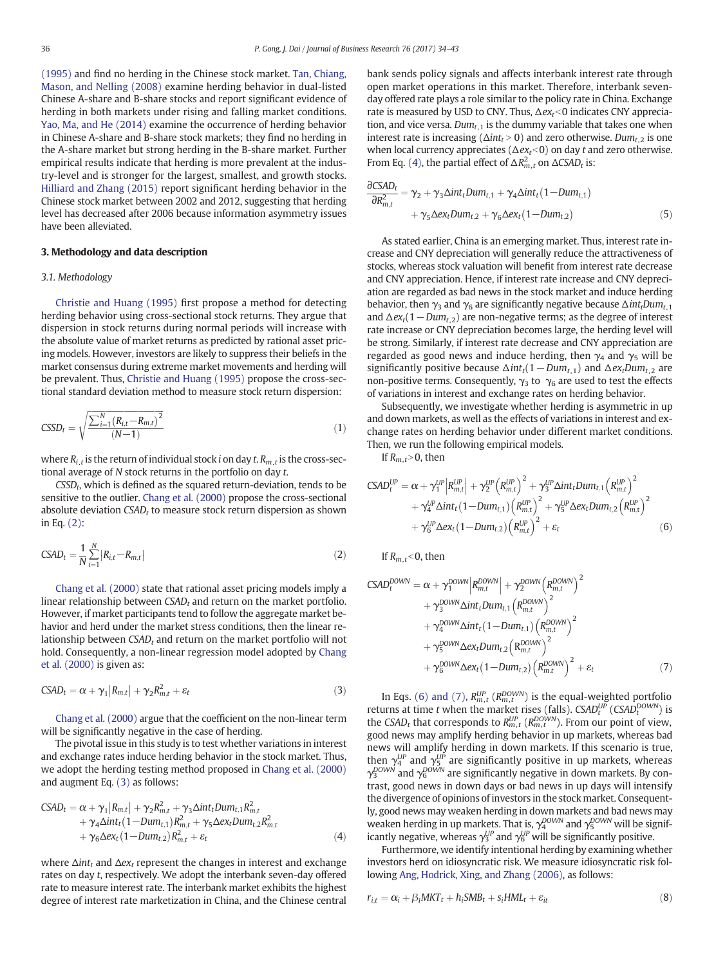<span id="page-2-0"></span>[\(1995\)](#page-9-0) and find no herding in the Chinese stock market. [Tan, Chiang,](#page-9-0) [Mason, and Nelling \(2008\)](#page-9-0) examine herding behavior in dual-listed Chinese A-share and B-share stocks and report significant evidence of herding in both markets under rising and falling market conditions. [Yao, Ma, and He \(2014\)](#page-9-0) examine the occurrence of herding behavior in Chinese A-share and B-share stock markets; they find no herding in the A-share market but strong herding in the B-share market. Further empirical results indicate that herding is more prevalent at the industry-level and is stronger for the largest, smallest, and growth stocks. [Hilliard and Zhang \(2015\)](#page-9-0) report significant herding behavior in the Chinese stock market between 2002 and 2012, suggesting that herding level has decreased after 2006 because information asymmetry issues have been alleviated.

#### 3. Methodology and data description

#### 3.1. Methodology

[Christie and Huang \(1995\)](#page-9-0) first propose a method for detecting herding behavior using cross-sectional stock returns. They argue that dispersion in stock returns during normal periods will increase with the absolute value of market returns as predicted by rational asset pricing models. However, investors are likely to suppress their beliefs in the market consensus during extreme market movements and herding will be prevalent. Thus, [Christie and Huang \(1995\)](#page-9-0) propose the cross-sectional standard deviation method to measure stock return dispersion:

$$
CSSD_{t} = \sqrt{\frac{\sum_{i=1}^{N} (R_{i,t} - R_{m,t})^{2}}{(N-1)}}
$$
\n(1)

where  $R_{i,t}$  is the return of individual stock *i* on day *t*.  $R_{m,t}$  is the cross-sectional average of N stock returns in the portfolio on day t.

 $CSSD_t$ , which is defined as the squared return-deviation, tends to be sensitive to the outlier. [Chang et al. \(2000\)](#page-9-0) propose the cross-sectional absolute deviation  $CSAD_t$  to measure stock return dispersion as shown in Eq. (2):

$$
CSAD_t = \frac{1}{N} \sum_{i=1}^{N} |R_{i,t} - R_{m,t}|
$$
\n(2)

[Chang et al. \(2000\)](#page-9-0) state that rational asset pricing models imply a linear relationship between  $CSAD_t$  and return on the market portfolio. However, if market participants tend to follow the aggregate market behavior and herd under the market stress conditions, then the linear relationship between  $CSAD_t$  and return on the market portfolio will not hold. Consequently, a non-linear regression model adopted by [Chang](#page-9-0) [et al. \(2000\)](#page-9-0) is given as:

$$
CSAD_t = \alpha + \gamma_1 |R_{m,t}| + \gamma_2 R_{m,t}^2 + \varepsilon_t
$$
\n(3)

[Chang et al. \(2000\)](#page-9-0) argue that the coefficient on the non-linear term will be significantly negative in the case of herding.

The pivotal issue in this study is to test whether variations in interest and exchange rates induce herding behavior in the stock market. Thus, we adopt the herding testing method proposed in [Chang et al. \(2000\)](#page-9-0) and augment Eq. (3) as follows:

$$
CSAD_t = \alpha + \gamma_1 |R_{m,t}| + \gamma_2 R_{m,t}^2 + \gamma_3 \Delta int_t Dum_{t,1} R_{m,t}^2 + \gamma_4 \Delta int_t (1 - Dum_{t,1}) R_{m,t}^2 + \gamma_5 \Delta ex_t Dum_{t,2} R_{m,t}^2 + \gamma_6 \Delta ex_t (1 - Dum_{t,2}) R_{m,t}^2 + \varepsilon_t
$$
\n(4)

where  $\Delta int_t$  and  $\Delta ext$  represent the changes in interest and exchange rates on day t, respectively. We adopt the interbank seven-day offered rate to measure interest rate. The interbank market exhibits the highest degree of interest rate marketization in China, and the Chinese central bank sends policy signals and affects interbank interest rate through open market operations in this market. Therefore, interbank sevenday offered rate plays a role similar to the policy rate in China. Exchange rate is measured by USD to CNY. Thus,  $\Delta e x_t < 0$  indicates CNY appreciation, and vice versa. Dum<sub>t 1</sub> is the dummy variable that takes one when interest rate is increasing ( $\Delta int_t > 0$ ) and zero otherwise. Dum<sub>t,2</sub> is one when local currency appreciates ( $\Delta e x_t$ <0) on day t and zero otherwise. From Eq. (4), the partial effect of  $\Delta R_{m,t}^2$  on  $\Delta$ CSAD<sub>t</sub> is:

$$
\frac{\partial CSAD_t}{\partial R_{m,t}^2} = \gamma_2 + \gamma_3 \Delta int_t Dum_{t,1} + \gamma_4 \Delta int_t (1 - Dum_{t,1})
$$
  
+  $\gamma_5 \Delta ex_t Dum_{t,2} + \gamma_6 \Delta ex_t (1 - Dum_{t,2})$  (5)

As stated earlier, China is an emerging market. Thus, interest rate increase and CNY depreciation will generally reduce the attractiveness of stocks, whereas stock valuation will benefit from interest rate decrease and CNY appreciation. Hence, if interest rate increase and CNY depreciation are regarded as bad news in the stock market and induce herding behavior, then  $\gamma_3$  and  $\gamma_6$  are significantly negative because  $\Delta int_t Dum_{t,1}$ and  $\Delta$ ex<sub>t</sub>(1 – Dum<sub>t,2</sub>) are non-negative terms; as the degree of interest rate increase or CNY depreciation becomes large, the herding level will be strong. Similarly, if interest rate decrease and CNY appreciation are regarded as good news and induce herding, then  $\gamma_4$  and  $\gamma_5$  will be significantly positive because  $\Delta int_t(1-Dum_{t,1})$  and  $\Delta ex_tDum_{t,2}$  are non-positive terms. Consequently,  $\gamma_3$  to  $\gamma_6$  are used to test the effects of variations in interest and exchange rates on herding behavior.

Subsequently, we investigate whether herding is asymmetric in up and down markets, as well as the effects of variations in interest and exchange rates on herding behavior under different market conditions. Then, we run the following empirical models.

If  $R_{m,t}$ >0, then

$$
CSAD_t^{UP} = \alpha + \gamma_1^{UP} \Big| R_{m,t}^{UP} \Big| + \gamma_2^{UP} \Big( R_{m,t}^{UP} \Big)^2 + \gamma_3^{UP} \Delta int_t Dum_{t,1} \Big( R_{m,t}^{UP} \Big)^2 + \gamma_4^{UP} \Delta int_t (1 - Dum_{t,1}) \Big( R_{m,t}^{UP} \Big)^2 + \gamma_5^{UP} \Delta ex_t Dum_{t,2} \Big( R_{m,t}^{UP} \Big)^2 + \gamma_5^{UP} \Delta ex_t (1 - Dum_{t,2}) \Big( R_{m,t}^{UP} \Big)^2 + \varepsilon_t
$$
 (6)

If  $R<sub>m</sub>$ ,  $<$  0, then

$$
CSAD_t^{DOWN} = \alpha + \gamma_1^{DOWN} \left| R_{m,t}^{DOWN} \right| + \gamma_2^{DOWN} \left( R_{m,t}^{DOWN} \right)^2 + \gamma_3^{DOWN} \Delta int_t Dum_{t,1} \left( R_{m,t}^{DOWN} \right)^2 + \gamma_4^{DOWN} \Delta int_t \left( 1 - Dum_{t,1} \right) \left( R_{m,t}^{DOWN} \right)^2 + \gamma_5^{DOWN} \Delta ex_t Dum_{t,2} \left( R_{m,t}^{DOWN} \right)^2 + \gamma_6^{DWW} \Delta ex_t \left( 1 - Dum_{t,2} \right) \left( R_{m,t}^{DOWN} \right)^2 + \varepsilon_t
$$
 (7)

In Eqs. (6) and (7),  $R_{m,t}^{UP}$  ( $R_{m,t}^{DOWN}$ ) is the equal-weighted portfolio returns at time t when the market rises (falls).  $CSAD_t^{UD}$  (CSAD $_t^{DOWN}$ ) is the CSAD<sub>t</sub> that corresponds to  $R_{m,t}^{UP}$  ( $R_{m,t}^{DOWN}$ ). From our point of view, good news may amplify herding behavior in up markets, whereas bad news will amplify herding in down markets. If this scenario is true, then  $\gamma_4^{UP}$  and  $\gamma_5^{UP}$  are significantly positive in up markets, whereas  $\gamma_3^{DOWN}$  and  $\gamma_6^{DOWN}$  are significantly negative in down markets. By contrast, good news in down days or bad news in up days will intensify the divergence of opinions of investors in the stock market. Consequently, good news may weaken herding in down markets and bad news may weaken herding in up markets. That is,  $\gamma_4^{DOWN}$  and  $\gamma_5^{DOWN}$  will be significantly negative, whereas  $\gamma_3^{UP}$  and  $\gamma_6^{UP}$  will be significantly positive.

Furthermore, we identify intentional herding by examining whether investors herd on idiosyncratic risk. We measure idiosyncratic risk following [Ang, Hodrick, Xing, and Zhang \(2006\)](#page-9-0), as follows:

$$
r_{i,t} = \alpha_i + \beta_i MKT_t + h_iSMB_t + s_iHML_t + \varepsilon_{it}
$$
\n(8)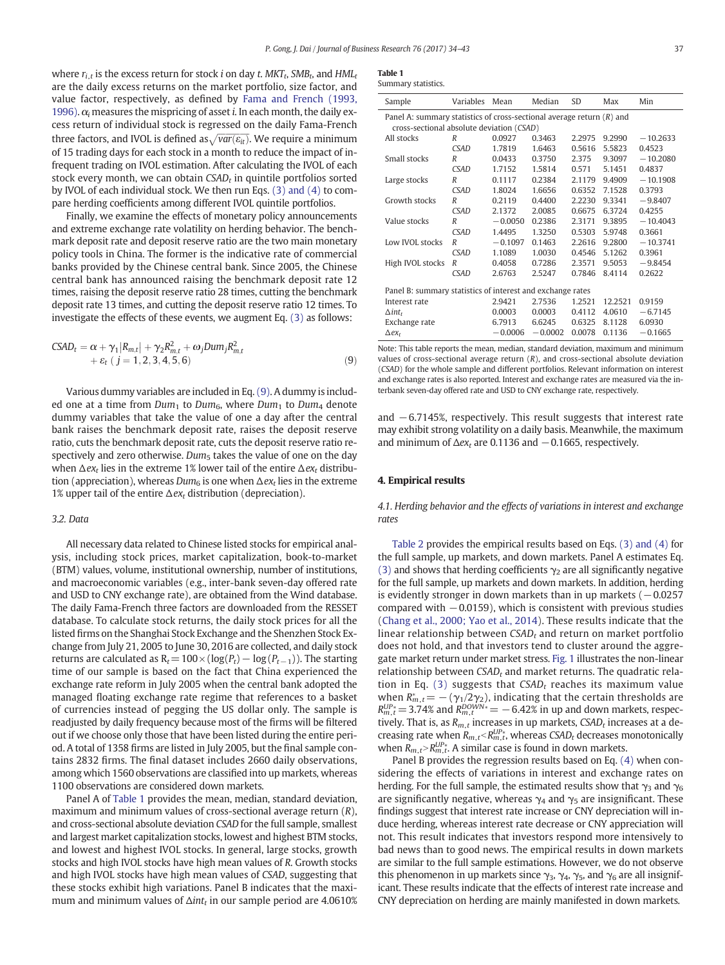<span id="page-3-0"></span>where  $r_{i,t}$  is the excess return for stock *i* on day *t*. MKT<sub>t</sub>, SMB<sub>t</sub>, and HML<sub>t</sub> are the daily excess returns on the market portfolio, size factor, and value factor, respectively, as defined by [Fama and French \(1993,](#page-9-0) [1996\).](#page-9-0)  $\alpha_i$  measures the mispricing of asset *i*. In each month, the daily excess return of individual stock is regressed on the daily Fama-French three factors, and IVOL is defined as $\sqrt{var(\varepsilon_{it})}$ . We require a minimum of 15 trading days for each stock in a month to reduce the impact of infrequent trading on IVOL estimation. After calculating the IVOL of each stock every month, we can obtain  $CSAD<sub>t</sub>$  in quintile portfolios sorted by IVOL of each individual stock. We then run Eqs. [\(3\) and \(4\)](#page-2-0) to compare herding coefficients among different IVOL quintile portfolios.

Finally, we examine the effects of monetary policy announcements and extreme exchange rate volatility on herding behavior. The benchmark deposit rate and deposit reserve ratio are the two main monetary policy tools in China. The former is the indicative rate of commercial banks provided by the Chinese central bank. Since 2005, the Chinese central bank has announced raising the benchmark deposit rate 12 times, raising the deposit reserve ratio 28 times, cutting the benchmark deposit rate 13 times, and cutting the deposit reserve ratio 12 times. To investigate the effects of these events, we augment Eq. [\(3\)](#page-2-0) as follows:

$$
CSAD_{t} = \alpha + \gamma_{1}|R_{m,t}| + \gamma_{2}R_{m,t}^{2} + \omega_{j}Dum_{j}R_{m,t}^{2} + \varepsilon_{t} (j = 1, 2, 3, 4, 5, 6)
$$
\n(9)

Various dummy variables are included in Eq. (9). A dummy is included one at a time from  $Dum_1$  to  $Dum_6$ , where  $Dum_1$  to  $Dum_4$  denote dummy variables that take the value of one a day after the central bank raises the benchmark deposit rate, raises the deposit reserve ratio, cuts the benchmark deposit rate, cuts the deposit reserve ratio respectively and zero otherwise.  $Dum<sub>5</sub>$  takes the value of one on the day when  $\Delta e x_t$  lies in the extreme 1% lower tail of the entire  $\Delta e x_t$  distribution (appreciation), whereas  $Dum<sub>6</sub>$  is one when  $\Delta ex<sub>t</sub>$  lies in the extreme 1% upper tail of the entire  $\Delta$ *ex<sub>t</sub>* distribution (depreciation).

#### 3.2. Data

All necessary data related to Chinese listed stocks for empirical analysis, including stock prices, market capitalization, book-to-market (BTM) values, volume, institutional ownership, number of institutions, and macroeconomic variables (e.g., inter-bank seven-day offered rate and USD to CNY exchange rate), are obtained from the Wind database. The daily Fama-French three factors are downloaded from the RESSET database. To calculate stock returns, the daily stock prices for all the listed firms on the Shanghai Stock Exchange and the Shenzhen Stock Exchange from July 21, 2005 to June 30, 2016 are collected, and daily stock returns are calculated as  $R_t=100\times(\log(P_t)-\log(P_{t-1}))$ . The starting time of our sample is based on the fact that China experienced the exchange rate reform in July 2005 when the central bank adopted the managed floating exchange rate regime that references to a basket of currencies instead of pegging the US dollar only. The sample is readjusted by daily frequency because most of the firms will be filtered out if we choose only those that have been listed during the entire period. A total of 1358 firms are listed in July 2005, but the final sample contains 2832 firms. The final dataset includes 2660 daily observations, among which 1560 observations are classified into up markets, whereas 1100 observations are considered down markets.

Panel A of Table 1 provides the mean, median, standard deviation, maximum and minimum values of cross-sectional average return (R), and cross-sectional absolute deviation CSAD for the full sample, smallest and largest market capitalization stocks, lowest and highest BTM stocks, and lowest and highest IVOL stocks. In general, large stocks, growth stocks and high IVOL stocks have high mean values of R. Growth stocks and high IVOL stocks have high mean values of CSAD, suggesting that these stocks exhibit high variations. Panel B indicates that the maximum and minimum values of  $\Delta int_t$  in our sample period are 4.0610%

| Table 1            |  |
|--------------------|--|
| Summary statistics |  |

| Sample                                                     | Variables                                                                                                            | Mean      | Median    | SD     | Max     | Min        |  |  |  |  |  |
|------------------------------------------------------------|----------------------------------------------------------------------------------------------------------------------|-----------|-----------|--------|---------|------------|--|--|--|--|--|
|                                                            | Panel A: summary statistics of cross-sectional average return $(R)$ and<br>cross-sectional absolute deviation (CSAD) |           |           |        |         |            |  |  |  |  |  |
| All stocks                                                 | R                                                                                                                    | 0.0927    | 0.3463    | 2.2975 | 9.2990  | $-10.2633$ |  |  |  |  |  |
|                                                            | <b>CSAD</b>                                                                                                          | 1.7819    | 1.6463    | 0.5616 | 5.5823  | 0.4523     |  |  |  |  |  |
| Small stocks                                               | R                                                                                                                    | 0.0433    | 0.3750    | 2.375  | 9.3097  | $-10.2080$ |  |  |  |  |  |
|                                                            | <b>CSAD</b>                                                                                                          | 1.7152    | 1.5814    | 0.571  | 5.1451  | 0.4837     |  |  |  |  |  |
| Large stocks                                               | R                                                                                                                    | 0.1117    | 0.2384    | 2.1179 | 9.4909  | $-10.1908$ |  |  |  |  |  |
|                                                            | <b>CSAD</b>                                                                                                          | 1.8024    | 1.6656    | 0.6352 | 7.1528  | 0.3793     |  |  |  |  |  |
| Growth stocks                                              | R                                                                                                                    | 0.2119    | 0.4400    | 2.2230 | 9.3341  | $-9.8407$  |  |  |  |  |  |
|                                                            | <b>CSAD</b>                                                                                                          | 2.1372    | 2.0085    | 0.6675 | 6.3724  | 0.4255     |  |  |  |  |  |
| Value stocks                                               | R                                                                                                                    | $-0.0050$ | 0.2386    | 2.3171 | 9.3895  | $-10.4043$ |  |  |  |  |  |
|                                                            | <b>CSAD</b>                                                                                                          | 1.4495    | 1.3250    | 0.5303 | 5.9748  | 0.3661     |  |  |  |  |  |
| Low IVOL stocks                                            | $\boldsymbol{R}$                                                                                                     | $-0.1097$ | 0.1463    | 2.2616 | 9.2800  | $-10.3741$ |  |  |  |  |  |
|                                                            | <b>CSAD</b>                                                                                                          | 1.1089    | 1.0030    | 0.4546 | 5.1262  | 0.3961     |  |  |  |  |  |
| High IVOL stocks                                           | R                                                                                                                    | 0.4058    | 0.7286    | 2.3571 | 9.5053  | $-9.8454$  |  |  |  |  |  |
|                                                            | <b>CSAD</b>                                                                                                          | 2.6763    | 2.5247    | 0.7846 | 8.4114  | 0.2622     |  |  |  |  |  |
| Panel B: summary statistics of interest and exchange rates |                                                                                                                      |           |           |        |         |            |  |  |  |  |  |
| Interest rate                                              |                                                                                                                      | 2.9421    | 2.7536    | 1.2521 | 12.2521 | 0.9159     |  |  |  |  |  |
| $\Delta$ int <sub>t</sub>                                  |                                                                                                                      | 0.0003    | 0.0003    | 0.4112 | 4.0610  | $-6.7145$  |  |  |  |  |  |
| Exchange rate                                              |                                                                                                                      | 6.7913    | 6.6245    | 0.6325 | 8.1128  | 6.0930     |  |  |  |  |  |
| $\Delta$ e $x_t$                                           |                                                                                                                      | $-0.0006$ | $-0.0002$ | 0.0078 | 0.1136  | $-0.1665$  |  |  |  |  |  |

Note: This table reports the mean, median, standard deviation, maximum and minimum values of cross-sectional average return  $(R)$ , and cross-sectional absolute deviation (CSAD) for the whole sample and different portfolios. Relevant information on interest and exchange rates is also reported. Interest and exchange rates are measured via the interbank seven-day offered rate and USD to CNY exchange rate, respectively.

and −6.7145%, respectively. This result suggests that interest rate may exhibit strong volatility on a daily basis. Meanwhile, the maximum and minimum of  $\Delta e x_t$  are 0.1136 and  $-$ 0.1665, respectively.

#### 4. Empirical results

4.1. Herding behavior and the effects of variations in interest and exchange rates

[Table 2](#page-4-0) provides the empirical results based on Eqs. [\(3\) and \(4\)](#page-2-0) for the full sample, up markets, and down markets. Panel A estimates Eq. [\(3\)](#page-2-0) and shows that herding coefficients  $\gamma_2$  are all significantly negative for the full sample, up markets and down markets. In addition, herding is evidently stronger in down markets than in up markets  $(-0.0257)$ compared with  $-0.0159$ ), which is consistent with previous studies [\(Chang et al., 2000; Yao et al., 2014\)](#page-9-0). These results indicate that the linear relationship between  $CSAD_t$  and return on market portfolio does not hold, and that investors tend to cluster around the aggregate market return under market stress. [Fig. 1](#page-4-0) illustrates the non-linear relationship between  $CSAD_t$  and market returns. The quadratic rela-tion in Eq. [\(3\)](#page-2-0) suggests that  $CSAD_t$  reaches its maximum value when  $R_{m,t}^* = -(\gamma_1/2\gamma_2)$ , indicating that the certain thresholds are  $R_{m,t}^{UP*}$  = 3.74% and  $R_{m,t}^{DOWN*}$  =  $-$  6.42% in up and down markets, respectively. That is, as  $R_{m,t}$  increases in up markets, CSAD<sub>t</sub> increases at a decreasing rate when  $R_{m,t} < R_{m,t}^{UP*}$ , whereas CSAD<sub>t</sub> decreases monotonically when  $R_{m,t} > R_{m,t}^{UP*}$ . A similar case is found in down markets.

Panel B provides the regression results based on Eq. [\(4\)](#page-2-0) when considering the effects of variations in interest and exchange rates on herding. For the full sample, the estimated results show that  $\gamma_3$  and  $\gamma_6$ are significantly negative, whereas  $\gamma_4$  and  $\gamma_5$  are insignificant. These findings suggest that interest rate increase or CNY depreciation will induce herding, whereas interest rate decrease or CNY appreciation will not. This result indicates that investors respond more intensively to bad news than to good news. The empirical results in down markets are similar to the full sample estimations. However, we do not observe this phenomenon in up markets since  $\gamma_3$ ,  $\gamma_4$ ,  $\gamma_5$ , and  $\gamma_6$  are all insignificant. These results indicate that the effects of interest rate increase and CNY depreciation on herding are mainly manifested in down markets.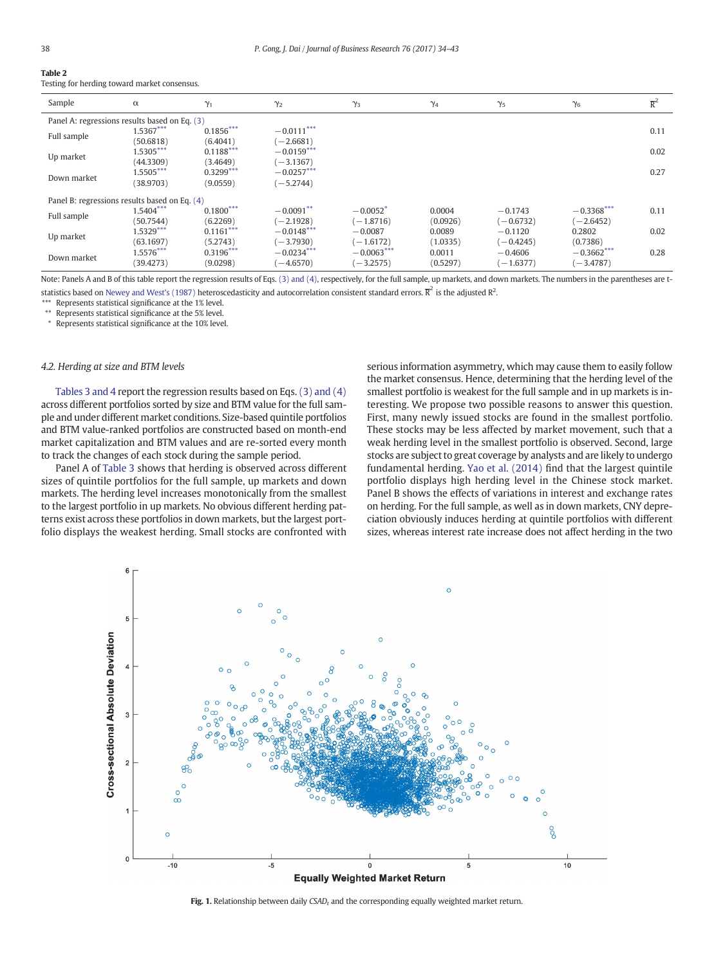<span id="page-4-0"></span>

| Table 2                                      |
|----------------------------------------------|
| Testing for herding toward market consensus. |

| Sample                                        | $\alpha$    | $\gamma_1$  | $\gamma_2$   | $\gamma_3$             | $\gamma_4$ | $\gamma_5$  | $\gamma_6$   | $\overline{R}^2$ |  |  |  |
|-----------------------------------------------|-------------|-------------|--------------|------------------------|------------|-------------|--------------|------------------|--|--|--|
| Panel A: regressions results based on Eq. (3) |             |             |              |                        |            |             |              |                  |  |  |  |
| Full sample                                   | $1.5367***$ | $0.1856***$ | $-0.0111***$ |                        |            |             |              | 0.11             |  |  |  |
|                                               | (50.6818)   | (6.4041)    | $(-2.6681)$  |                        |            |             |              |                  |  |  |  |
| Up market                                     | $1.5305***$ | $0.1188***$ | $-0.0159***$ |                        |            |             |              | 0.02             |  |  |  |
|                                               | (44.3309)   | (3.4649)    | $(-3.1367)$  |                        |            |             |              |                  |  |  |  |
| Down market                                   | $1.5505***$ | $0.3299***$ | $-0.0257***$ |                        |            |             |              | 0.27             |  |  |  |
|                                               | (38.9703)   | (9.0559)    | $(-5.2744)$  |                        |            |             |              |                  |  |  |  |
| Panel B: regressions results based on Eq. (4) |             |             |              |                        |            |             |              |                  |  |  |  |
|                                               | $1.5404***$ | $0.1800***$ | $-0.0091**$  | $-0.0052$ <sup>*</sup> | 0.0004     | $-0.1743$   | $-0.3368***$ | 0.11             |  |  |  |
| Full sample                                   | (50.7544)   | (6.2269)    | $(-2.1928)$  | $(-1.8716)$            | (0.0926)   | $(-0.6732)$ | $(-2.6452)$  |                  |  |  |  |
|                                               | $1.5329***$ | $0.1161***$ | $-0.0148***$ | $-0.0087$              | 0.0089     | $-0.1120$   | 0.2802       | 0.02             |  |  |  |
| Up market                                     | (63.1697)   | (5.2743)    | $(-3.7930)$  | $(-1.6172)$            | (1.0335)   | $(-0.4245)$ | (0.7386)     |                  |  |  |  |
|                                               | $1.5576***$ | $0.3196***$ | $-0.0234***$ | $-0.0063***$           | 0.0011     | $-0.4606$   | $-0.3662***$ | 0.28             |  |  |  |
| Down market                                   | (39.4273)   | (9.0298)    | $(-4.6570)$  | $(-3.2575)$            | (0.5297)   | $(-1.6377)$ | $(-3.4787)$  |                  |  |  |  |

Note: Panels A and B of this table report the regression results of Eqs. [\(3\) and \(4\),](#page-2-0) respectively, for the full sample, up markets, and down markets. The numbers in the parentheses are t-statistics based on [Newey and West's \(1987\)](#page-9-0) heteroscedasticity and autocorrelation consistent standard errors.  $\overline{R}^2$  is the adjusted  $R^2$ .

Represents statistical significance at the 1% level.

\*\* Represents statistical significance at the 5% level.

Represents statistical significance at the 10% level.

#### 4.2. Herding at size and BTM levels

[Tables 3 and 4](#page-5-0) report the regression results based on Eqs. [\(3\) and \(4\)](#page-2-0) across different portfolios sorted by size and BTM value for the full sample and under different market conditions. Size-based quintile portfolios and BTM value-ranked portfolios are constructed based on month-end market capitalization and BTM values and are re-sorted every month to track the changes of each stock during the sample period.

Panel A of [Table 3](#page-5-0) shows that herding is observed across different sizes of quintile portfolios for the full sample, up markets and down markets. The herding level increases monotonically from the smallest to the largest portfolio in up markets. No obvious different herding patterns exist across these portfolios in down markets, but the largest portfolio displays the weakest herding. Small stocks are confronted with serious information asymmetry, which may cause them to easily follow the market consensus. Hence, determining that the herding level of the smallest portfolio is weakest for the full sample and in up markets is interesting. We propose two possible reasons to answer this question. First, many newly issued stocks are found in the smallest portfolio. These stocks may be less affected by market movement, such that a weak herding level in the smallest portfolio is observed. Second, large stocks are subject to great coverage by analysts and are likely to undergo fundamental herding. [Yao et al. \(2014\)](#page-9-0) find that the largest quintile portfolio displays high herding level in the Chinese stock market. Panel B shows the effects of variations in interest and exchange rates on herding. For the full sample, as well as in down markets, CNY depreciation obviously induces herding at quintile portfolios with different sizes, whereas interest rate increase does not affect herding in the two



Fig. 1. Relationship between daily  $CSAD_t$  and the corresponding equally weighted market return.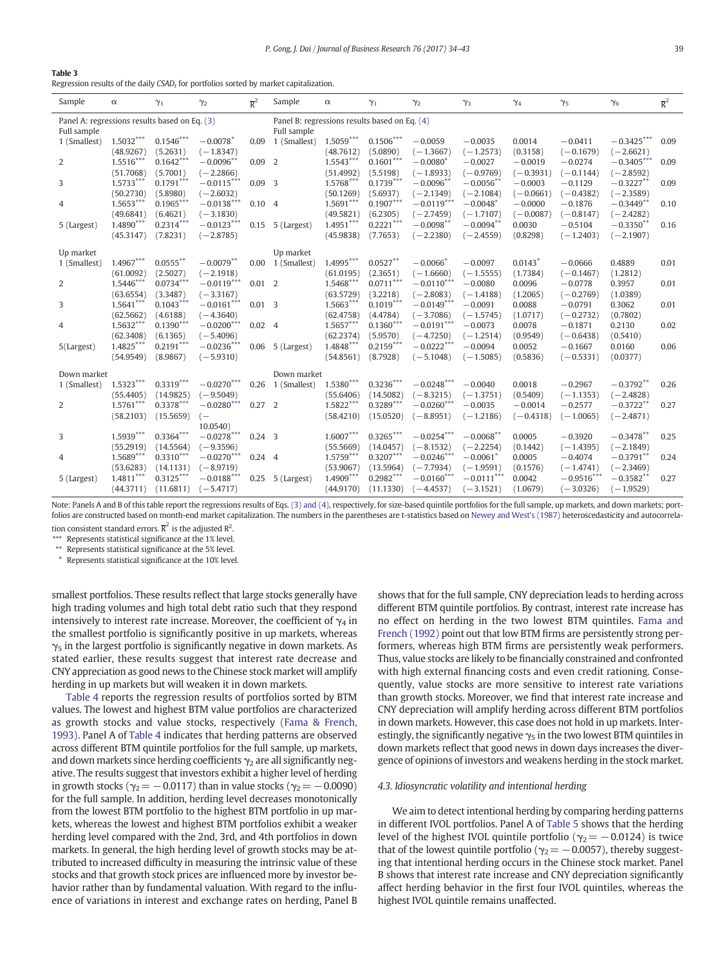<span id="page-5-0"></span>

Regression results of the daily  $\emph{CSAD}_t$  for portfolios sorted by market capitalization.

| Sample                                        | $\alpha$    | $\gamma_1$  | $\gamma_2$               | $\overline{R}^2$ | Sample                                          | $\alpha$                 | $\gamma_1$  | $\gamma_2$             | $\gamma_3$             | $\gamma_4$            | $\gamma_5$   | $\gamma_6$   | $\overline{\mathrm{R}}^2$ |
|-----------------------------------------------|-------------|-------------|--------------------------|------------------|-------------------------------------------------|--------------------------|-------------|------------------------|------------------------|-----------------------|--------------|--------------|---------------------------|
| Panel A: regressions results based on Eq. (3) |             |             |                          |                  | Panel B: regressions results based on Eq. $(4)$ |                          |             |                        |                        |                       |              |              |                           |
| Full sample                                   |             |             |                          |                  | Full sample                                     |                          |             |                        |                        |                       |              |              |                           |
| 1 (Smallest)                                  | $1.5032***$ | $0.1546***$ | $-0.0078$ <sup>*</sup>   | 0.09             | 1 (Smallest)                                    | $1.5059***$              | $0.1506***$ | $-0.0059$              | $-0.0035$              | 0.0014                | $-0.0411$    | $-0.3425***$ | 0.09                      |
|                                               | (48.9267)   | (5.2631)    | $(-1.8347)$              |                  |                                                 | (48.7612)                | (5.0890)    | $(-1.3667)$            | $(-1.2573)$            | (0.3158)              | $(-0.1679)$  | $(-2.6621)$  |                           |
| 2                                             | $1.5516***$ | $0.1642***$ | $-0.0096**$              | $0.09$ 2         |                                                 | $1.5543***$              | $0.1601***$ | $-0.0080*$             | $-0.0027$              | $-0.0019$             | $-0.0274$    | $-0.3405***$ | 0.09                      |
|                                               | (51.7068)   | (5.7001)    | $(-2.2866)$              |                  |                                                 | (51.4992)                | (5.5198)    | $(-1.8933)$            | $(-0.9769)$            | $(-0.3931)$           | $(-0.1144)$  | $(-2.8592)$  |                           |
| 3                                             | $1.5733***$ | $0.1791***$ | $-0.0115***$             | 0.09             | $\overline{3}$                                  | $1.5768***$              | $0.1739***$ | $-0.0096**$            | $-0.0056$ **           | $-0.0003$             | $-0.1129$    | $-0.3227**$  | 0.09                      |
|                                               | (50.2730)   | (5.8980)    | $(-2.6032)$              |                  |                                                 | (50.1269)                | (5.6937)    | $(-2.1349)$            | $(-2.1084)$            | $(-0.0661)$           | $(-0.4382)$  | $(-2.3589)$  |                           |
| 4                                             | $1.5653***$ | $0.1965***$ | $-0.0138***$             | $0.10 \quad 4$   |                                                 | $1.5691***$              | $0.1907***$ | $-0.0119***$           | $-0.0048$ <sup>*</sup> | $-0.0000$             | $-0.1876$    | $-0.3449**$  | 0.10                      |
|                                               | (49.6841)   | (6.4621)    | $(-3.1830)$              |                  |                                                 | (49.5821)                | (6.2305)    | $(-2.7459)$            | $(-1.7107)$            | $(-0.0087)$           | $(-0.8147)$  | $(-2.4282)$  |                           |
| 5 (Largest)                                   | 1.4890***   | $0.2314***$ | $-0.0123***$             | 0.15             | 5 (Largest)                                     | $1.4951***$              | $0.2221***$ | $-0.0098$ **           | $-0.0094$ **           | 0.0030                | $-0.5104$    | $-0.3350**$  | 0.16                      |
|                                               | (45.3147)   | (7.8231)    | $(-2.8785)$              |                  |                                                 | (45.9838)                | (7.7653)    | $(-2.2380)$            | $(-2.4559)$            | (0.8298)              | $(-1.2403)$  | $(-2.1907)$  |                           |
| Up market                                     |             |             |                          |                  | Up market                                       |                          |             |                        |                        |                       |              |              |                           |
| 1 (Smallest)                                  | $1.4967***$ | $0.0555***$ | $-0.0079**$              | $0.00\,$         | 1 (Smallest)                                    | $1.4995***$              | $0.0527***$ | $-0.0066$ <sup>*</sup> | $-0.0097$              | $0.0143$ <sup>*</sup> | $-0.0666$    | 0.4889       | 0.01                      |
|                                               | (61.0092)   | (2.5027)    | $(-2.1918)$              |                  |                                                 | (61.0195)                | (2.3651)    | $(-1.6660)$            | $(-1.5555)$            | (1.7384)              | $(-0.1467)$  | (1.2812)     |                           |
| 2                                             | $1.5446***$ | $0.0734***$ | $-0.0119***$             | $0.01$ 2         |                                                 | 1.5468***                | $0.0711***$ | $-0.0110***$           | $-0.0080$              | 0.0096                | $-0.0778$    | 0.3957       | 0.01                      |
|                                               | (63.6554)   | (3.3487)    | $(-3.3167)$              |                  |                                                 | (63.5729)                | (3.2218)    | $(-2.8083)$            | $(-1.4188)$            | (1.2065)              | $(-0.2769)$  | (1.0389)     |                           |
| 3                                             | $1.5641***$ | $0.1043***$ | $-0.0161***$             | $0.01 \quad 3$   |                                                 | $1.5663***$              | $0.1019***$ | $-0.0149***$           | $-0.0091$              | 0.0088                | $-0.0791$    | 0.3062       | 0.01                      |
|                                               | (62.5662)   | (4.6188)    | $(-4.3640)$              |                  |                                                 | (62.4758)                | (4.4784)    | $(-3.7086)$            | $(-1.5745)$            | (1.0717)              | $(-0.2732)$  | (0.7802)     |                           |
| 4                                             | $1.5632***$ | $0.1390***$ | $-0.0200***$             | $0.02 \quad 4$   |                                                 | $1.5657***$              | $0.1360***$ | $-0.0191***$           | $-0.0073$              | 0.0078                | $-0.1871$    | 0.2130       | 0.02                      |
|                                               | (62.3408)   | (6.1365)    | $(-5.4096)$              |                  |                                                 | (62.2374)                | (5.9570)    | $(-4.7250)$            | $(-1.2514)$            | (0.9549)              | $(-0.6438)$  | (0.5410)     |                           |
| 5(Largest)                                    | 1.4825***   | $0.2191***$ | $-0.0236***$             | 0.06             | 5 (Largest)                                     | $1.4848***$              | $0.2159***$ | $-0.0222***$           | $-0.0094$              | 0.0052                | $-0.1667$    | 0.0160       | 0.06                      |
|                                               | (54.9549)   | (8.9867)    | $(-5.9310)$              |                  |                                                 | (54.8561)                | (8.7928)    | $(-5.1048)$            | $(-1.5085)$            | (0.5836)              | $(-0.5331)$  | (0.0377)     |                           |
|                                               |             |             |                          |                  |                                                 |                          |             |                        |                        |                       |              |              |                           |
| Down market                                   |             |             |                          |                  | Down market                                     |                          |             |                        |                        |                       |              |              |                           |
| 1 (Smallest)                                  | $1.5323***$ | $0.3319***$ | $-0.0270***$             | 0.26             | 1 (Smallest)                                    | $1.5380***$              | $0.3236***$ | $-0.0248***$           | $-0.0040$              | 0.0018                | $-0.2967$    | $-0.3792**$  | 0.26                      |
|                                               | (55.4405)   | (14.9825)   | $(-9.5049)$              |                  |                                                 | (55.6406)                | (14.5082)   | $(-8.3215)$            | $(-1.3751)$            | (0.5409)              | $(-1.1353)$  | $(-2.4828)$  |                           |
| 2                                             | $1.5761***$ | $0.3378***$ | $-0.0280***$             | 0.27             | 2                                               | $1.5822***$              | $0.3289***$ | $-0.0260***$           | $-0.0035$              | $-0.0014$             | $-0.2577$    | $-0.3722**$  | 0.27                      |
|                                               | (58.2103)   | (15.5659)   | $(-$                     |                  |                                                 | (58.4210)                | (15.0520)   | $(-8.8951)$            | $(-1.2186)$            | $(-0.4318)$           | $(-1.0065)$  | $(-2.4871)$  |                           |
|                                               | $1.5939***$ | $0.3364***$ | 10.0540)<br>$-0.0278***$ |                  |                                                 |                          | $0.3265***$ |                        |                        |                       |              |              |                           |
| 3                                             |             |             |                          | $0.24 - 3$       |                                                 | $1.6007***$              |             | $-0.0254***$           | $-0.0068***$           | 0.0005                | $-0.3920$    | $-0.3478**$  | 0.25                      |
|                                               | (55.2919)   | (14.5564)   | $(-9.3596)$              |                  |                                                 | (55.5669)<br>$1.5759***$ | (14.0457)   | $(-8.1532)$            | $(-2.2254)$            | (0.1442)              | $(-1.4395)$  | $(-2.1849)$  |                           |
| 4                                             | $1.5689***$ | $0.3310***$ | $-0.0270***$             | $0.24$ 4         |                                                 |                          | $0.3207***$ | $-0.0246***$           | $-0.0061*$             | 0.0005                | $-0.4074$    | $-0.3791**$  | 0.24                      |
|                                               | (53.6283)   | (14.1131)   | $(-8.9719)$              |                  |                                                 | (53.9067)                | (13.5964)   | $(-7.7934)$            | $(-1.9591)$            | (0.1576)              | $(-1.4741)$  | $(-2.3469)$  |                           |
| 5 (Largest)                                   | $1.4811***$ | $0.3125***$ | $-0.0188***$             | 0.25             | 5 (Largest)                                     | $1.4909***$              | $0.2982***$ | $-0.0160***$           | $-0.0111***$           | 0.0042                | $-0.9516***$ | $-0.3582**$  | 0.27                      |
|                                               | (44.3711)   | (11.6811)   | $(-5.4717)$              |                  |                                                 | (44.9170)                | (11.1330)   | $(-4.4537)$            | $(-3.1521)$            | (1.0679)              | $(-3.0326)$  | $(-1.9529)$  |                           |

Note: Panels A and B of this table report the regressions results of Eqs. [\(3\) and \(4\),](#page-2-0) respectively, for size-based quintile portfolios for the full sample, up markets, and down markets; portfolios are constructed based on month-end market capitalization. The numbers in the parentheses are t-statistics based on [Newey and West's \(1987\)](#page-9-0) heteroscedasticity and autocorrela-

tion consistent standard errors.  $\overline{\mathsf{R}}^2$  is the adjusted  $\mathsf{R}^2$ .

Represents statistical significance at the 1% level.

\*\* Represents statistical significance at the 5% level.

Represents statistical significance at the 10% level.

smallest portfolios. These results reflect that large stocks generally have high trading volumes and high total debt ratio such that they respond intensively to interest rate increase. Moreover, the coefficient of  $\gamma_4$  in the smallest portfolio is significantly positive in up markets, whereas  $\gamma_5$  in the largest portfolio is significantly negative in down markets. As stated earlier, these results suggest that interest rate decrease and CNY appreciation as good news to the Chinese stock market will amplify herding in up markets but will weaken it in down markets.

[Table 4](#page-6-0) reports the regression results of portfolios sorted by BTM values. The lowest and highest BTM value portfolios are characterized as growth stocks and value stocks, respectively ([Fama & French,](#page-9-0) [1993\)](#page-9-0). Panel A of [Table 4](#page-6-0) indicates that herding patterns are observed across different BTM quintile portfolios for the full sample, up markets, and down markets since herding coefficients  $\gamma_2$  are all significantly negative. The results suggest that investors exhibit a higher level of herding in growth stocks ( $\gamma_2$  = -0.0117) than in value stocks ( $\gamma_2$  = -0.0090) for the full sample. In addition, herding level decreases monotonically from the lowest BTM portfolio to the highest BTM portfolio in up markets, whereas the lowest and highest BTM portfolios exhibit a weaker herding level compared with the 2nd, 3rd, and 4th portfolios in down markets. In general, the high herding level of growth stocks may be attributed to increased difficulty in measuring the intrinsic value of these stocks and that growth stock prices are influenced more by investor behavior rather than by fundamental valuation. With regard to the influence of variations in interest and exchange rates on herding, Panel B shows that for the full sample, CNY depreciation leads to herding across different BTM quintile portfolios. By contrast, interest rate increase has no effect on herding in the two lowest BTM quintiles. [Fama and](#page-9-0) [French \(1992\)](#page-9-0) point out that low BTM firms are persistently strong performers, whereas high BTM firms are persistently weak performers. Thus, value stocks are likely to be financially constrained and confronted with high external financing costs and even credit rationing. Consequently, value stocks are more sensitive to interest rate variations than growth stocks. Moreover, we find that interest rate increase and CNY depreciation will amplify herding across different BTM portfolios in down markets. However, this case does not hold in up markets. Interestingly, the significantly negative  $\gamma_5$  in the two lowest BTM quintiles in down markets reflect that good news in down days increases the divergence of opinions of investors and weakens herding in the stock market.

#### 4.3. Idiosyncratic volatility and intentional herding

We aim to detect intentional herding by comparing herding patterns in different IVOL portfolios. Panel A of [Table 5](#page-7-0) shows that the herding level of the highest IVOL quintile portfolio ( $\gamma_2 = -0.0124$ ) is twice that of the lowest quintile portfolio ( $\gamma_2$  = -0.0057), thereby suggesting that intentional herding occurs in the Chinese stock market. Panel B shows that interest rate increase and CNY depreciation significantly affect herding behavior in the first four IVOL quintiles, whereas the highest IVOL quintile remains unaffected.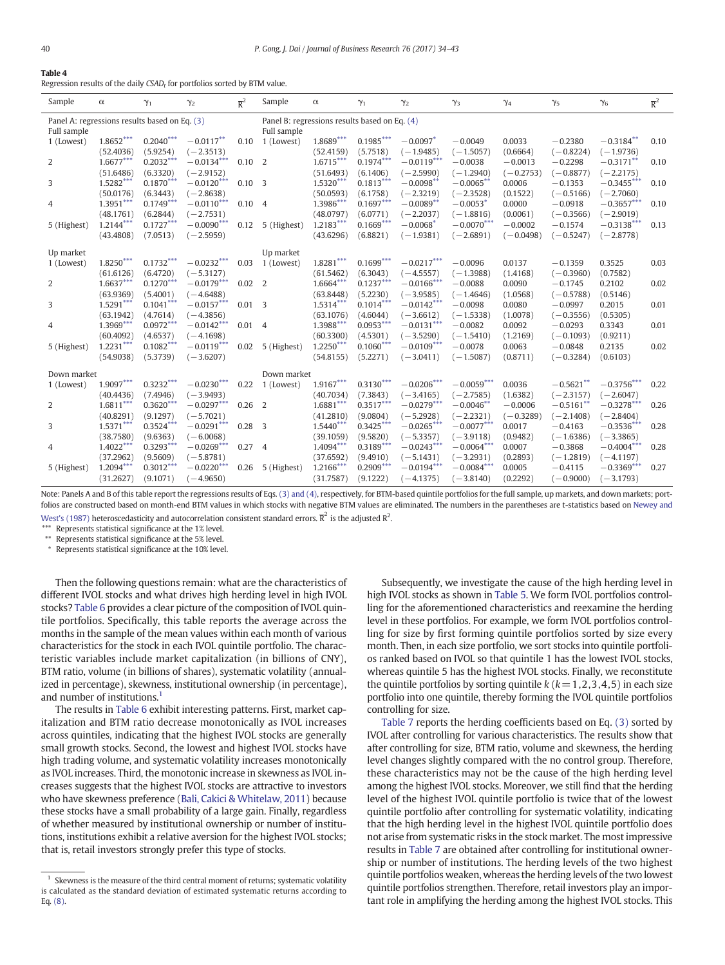<span id="page-6-0"></span>

| Table 4 |  |  |  |
|---------|--|--|--|
|---------|--|--|--|

Regression results of the daily CSAD, for portfolios sorted by BTM value.

| Sample                                        | $\alpha$    | $\gamma_1$  | $\gamma_2$   | $\overline{R}^2$ | Sample                                        | $\alpha$    | $\gamma_1$  | $\gamma_2$             | $\gamma_3$   | $\gamma_4$  | $\gamma_{5}$ | $\gamma_6$   | $\overline{R}^2$ |
|-----------------------------------------------|-------------|-------------|--------------|------------------|-----------------------------------------------|-------------|-------------|------------------------|--------------|-------------|--------------|--------------|------------------|
| Panel A: regressions results based on Eq. (3) |             |             |              |                  | Panel B: regressions results based on Eq. (4) |             |             |                        |              |             |              |              |                  |
| Full sample                                   |             |             |              |                  | Full sample                                   |             |             |                        |              |             |              |              |                  |
| 1 (Lowest)                                    | $1.8652***$ | $0.2040***$ | $-0.0117***$ | 0.10             | 1 (Lowest)                                    | $1.8689***$ | $0.1985***$ | $-0.0097*$             | $-0.0049$    | 0.0033      | $-0.2380$    | $-0.3184**$  | 0.10             |
|                                               | (52.4036)   | (5.9254)    | $(-2.3513)$  |                  |                                               | (52.4159)   | (5.7518)    | $(-1.9485)$            | $(-1.5057)$  | (0.6664)    | $(-0.8224)$  | $(-1.9736)$  |                  |
| 2                                             | $1.6677***$ | $0.2032***$ | $-0.0134***$ | 0.10             | 2                                             | $1.6715***$ | $0.1974***$ | $-0.0119***$           | $-0.0038$    | $-0.0013$   | $-0.2298$    | $-0.3171**$  | 0.10             |
|                                               | (51.6486)   | (6.3320)    | $(-2.9152)$  |                  |                                               | (51.6493)   | (6.1406)    | $(-2.5990)$            | $(-1.2940)$  | $(-0.2753)$ | $(-0.8877)$  | $(-2.2175)$  |                  |
| 3                                             | $1.5282***$ | $0.1870***$ | $-0.0120***$ | 0.10             | $\overline{\mathbf{3}}$                       | $1.5320***$ | $0.1813***$ | $-0.0098***$           | $-0.0065**$  | 0.0006      | $-0.1353$    | $-0.3455***$ | 0.10             |
|                                               | (50.0176)   | (6.3443)    | $(-2.8638)$  |                  |                                               | (50.0593)   | (6.1758)    | $(-2.3219)$            | $(-2.3528)$  | (0.1522)    | $(-0.5166)$  | $(-2.7060)$  |                  |
| 4                                             | $1.3951***$ | $0.1749***$ | $-0.0110***$ | 0.10             | $\overline{4}$                                | $1.3986***$ | $0.1697***$ | $-0.0089**$            | $-0.0053*$   | 0.0000      | $-0.0918$    | $-0.3657***$ | 0.10             |
|                                               | (48.1761)   | (6.2844)    | $(-2.7531)$  |                  |                                               | (48.0797)   | (6.0771)    | $(-2.2037)$            | $(-1.8816)$  | (0.0061)    | $(-0.3566)$  | $(-2.9019)$  |                  |
| 5 (Highest)                                   | $1.2144***$ | $0.1727***$ | $-0.0090***$ | 0.12             | 5 (Highest)                                   | $1.2183***$ | $0.1669***$ | $-0.0068$ <sup>*</sup> | $-0.0070***$ | $-0.0002$   | $-0.1574$    | $-0.3138***$ | 0.13             |
|                                               | (43, 4808)  | (7.0513)    | $(-2.5959)$  |                  |                                               | (43.6296)   | (6.8821)    | $(-1.9381)$            | $(-2.6891)$  | $(-0.0498)$ | $(-0.5247)$  | $(-2.8778)$  |                  |
|                                               |             |             |              |                  |                                               |             |             |                        |              |             |              |              |                  |
| Up market                                     |             |             |              |                  | Up market                                     |             |             |                        |              |             |              |              |                  |
| 1 (Lowest)                                    | $1.8250***$ | $0.1732***$ | $-0.0232***$ | 0.03             | 1 (Lowest)                                    | $1.8281***$ | $0.1699***$ | $-0.0217***$           | $-0.0096$    | 0.0137      | $-0.1359$    | 0.3525       | 0.03             |
|                                               | (61.6126)   | (6.4720)    | $(-5.3127)$  |                  |                                               | (61.5462)   | (6.3043)    | $(-4.5557)$            | $(-1.3988)$  | (1.4168)    | $(-0.3960)$  | (0.7582)     |                  |
| 2                                             | $1.6637***$ | $0.1270***$ | $-0.0179***$ | 0.02             | 2                                             | 1.6664***   | $0.1237***$ | $-0.0166***$           | $-0.0088$    | 0.0090      | $-0.1745$    | 0.2102       | 0.02             |
|                                               | (63.9369)   | (5.4001)    | $(-4.6488)$  |                  |                                               | (63.8448)   | (5.2230)    | $(-3.9585)$            | $(-1.4646)$  | (1.0568)    | $(-0.5788)$  | (0.5146)     |                  |
| 3                                             | $1.5291***$ | $0.1041***$ | $-0.0157***$ | $0.01$ 3         |                                               | $1.5314***$ | $0.1014***$ | $-0.0142***$           | $-0.0098$    | 0.0080      | $-0.0997$    | 0.2015       | 0.01             |
|                                               | (63.1942)   | (4.7614)    | $(-4.3856)$  |                  |                                               | (63.1076)   | (4.6044)    | $(-3.6612)$            | $(-1.5338)$  | (1.0078)    | $(-0.3556)$  | (0.5305)     |                  |
| 4                                             | 1.3969***   | $0.0972***$ | $-0.0142***$ | $0.01 \quad 4$   |                                               | 1.3988***   | $0.0953***$ | $-0.0131***$           | $-0.0082$    | 0.0092      | $-0.0293$    | 0.3343       | 0.01             |
|                                               | (60, 4092)  | (4.6537)    | $(-4.1698)$  |                  |                                               | (60.3300)   | (4.5301)    | $(-3.5290)$            | $(-1.5410)$  | (1.2169)    | $(-0.1093)$  | (0.9211)     |                  |
| 5 (Highest)                                   | $1.2231***$ | $0.1082***$ | $-0.0119***$ | 0.02             | 5 (Highest)                                   | $1.2250***$ | $0.1060***$ | $-0.0109***$           | $-0.0078$    | 0.0063      | $-0.0848$    | 0.2135       | 0.02             |
|                                               | (54.9038)   | (5.3739)    | $(-3.6207)$  |                  |                                               | (54.8155)   | (5.2271)    | $(-3.0411)$            | $(-1.5087)$  | (0.8711)    | $(-0.3284)$  | (0.6103)     |                  |
| Down market                                   |             |             |              |                  | Down market                                   |             |             |                        |              |             |              |              |                  |
| 1 (Lowest)                                    | $1.9097***$ | $0.3232***$ | $-0.0230***$ | 0.22             | 1 (Lowest)                                    | $1.9167***$ | $0.3130***$ | $-0.0206***$           | $-0.0059***$ | 0.0036      | $-0.5621**$  | $-0.3756***$ | 0.22             |
|                                               | (40.4436)   | (7.4946)    | $(-3.9493)$  |                  |                                               | (40.7034)   | (7.3843)    | $(-3.4165)$            | $(-2.7585)$  | (1.6382)    | $(-2.3157)$  | $(-2.6047)$  |                  |
| $\overline{2}$                                | $1.6811***$ | $0.3620***$ | $-0.0297***$ | 0.26             | 2                                             | $1.6881***$ | $0.3517***$ | $-0.0279***$           | $-0.0046**$  | $-0.0006$   | $-0.5161**$  | $-0.3278***$ | 0.26             |
|                                               | (40.8291)   | (9.1297)    | $(-5.7021)$  |                  |                                               | (41.2810)   | (9.0804)    | $(-5.2928)$            | $(-2.2321)$  | $(-0.3289)$ | $(-2.1408)$  | $(-2.8404)$  |                  |
| 3                                             | $1.5371***$ | $0.3524***$ | $-0.0291***$ | $0.28$ 3         |                                               | $1.5440***$ | $0.3425***$ | $-0.0265***$           | $-0.0077***$ | 0.0017      | $-0.4163$    | $-0.3536***$ | 0.28             |
|                                               | (38,7580)   | (9.6363)    | $(-6.0068)$  |                  |                                               | (39.1059)   | (9.5820)    | $(-5.3357)$            | $(-3.9118)$  | (0.9482)    | $(-1.6386)$  | $(-3.3865)$  |                  |
| 4                                             | $1.4022***$ | $0.3293***$ | $-0.0269***$ | 0.27             | $\overline{4}$                                | $1.4094***$ | $0.3189***$ | $-0.0243***$           | $-0.0064***$ | 0.0007      | $-0.3868$    | $-0.4004***$ | 0.28             |
|                                               | (37.2962)   | (9.5609)    | $(-5.8781)$  |                  |                                               | (37.6592)   | (9.4910)    | $(-5.1431)$            | $(-3.2931)$  | (0.2893)    | $(-1.2819)$  | $(-4.1197)$  |                  |
| 5 (Highest)                                   | $1.2094***$ | $0.3012***$ | $-0.0220***$ | 0.26             | 5 (Highest)                                   | $1.2166***$ | $0.2909***$ | $-0.0194***$           | $-0.0084***$ | 0.0005      | $-0.4115$    | $-0.3369***$ | 0.27             |
|                                               | (31.2627)   | (9.1071)    | $(-4.9650)$  |                  |                                               | (31.7587)   | (9.1222)    | $(-4.1375)$            | $(-3.8140)$  | (0.2292)    | $(-0.9000)$  | $(-3.1793)$  |                  |
|                                               |             |             |              |                  |                                               |             |             |                        |              |             |              |              |                  |

Note: Panels A and B of this table report the regressions results of Eqs. [\(3\) and \(4\),](#page-2-0) respectively, for BTM-based quintile portfolios for the full sample, up markets, and down markets; port-folios are constructed based on month-end BTM values in which stocks with negative BTM values are eliminated. The numbers in the parentheses are t-statistics based on [Newey and](#page-9-0)

[West's \(1987\)](#page-9-0) heteroscedasticity and autocorrelation consistent standard errors.  $\overline{\mathsf{R}}^2$  is the adjusted  $\mathsf{R}^2$ .

⁎⁎⁎ Represents statistical significance at the 1% level.

\*\* Represents statistical significance at the 5% level.

Represents statistical significance at the 10% level.

Then the following questions remain: what are the characteristics of different IVOL stocks and what drives high herding level in high IVOL stocks? [Table 6](#page-7-0) provides a clear picture of the composition of IVOL quintile portfolios. Specifically, this table reports the average across the months in the sample of the mean values within each month of various characteristics for the stock in each IVOL quintile portfolio. The characteristic variables include market capitalization (in billions of CNY), BTM ratio, volume (in billions of shares), systematic volatility (annualized in percentage), skewness, institutional ownership (in percentage), and number of institutions.<sup>1</sup>

The results in [Table 6](#page-7-0) exhibit interesting patterns. First, market capitalization and BTM ratio decrease monotonically as IVOL increases across quintiles, indicating that the highest IVOL stocks are generally small growth stocks. Second, the lowest and highest IVOL stocks have high trading volume, and systematic volatility increases monotonically as IVOL increases. Third, the monotonic increase in skewness as IVOL increases suggests that the highest IVOL stocks are attractive to investors who have skewness preference ([Bali, Cakici & Whitelaw, 2011](#page-9-0)) because these stocks have a small probability of a large gain. Finally, regardless of whether measured by institutional ownership or number of institutions, institutions exhibit a relative aversion for the highest IVOL stocks; that is, retail investors strongly prefer this type of stocks.

Subsequently, we investigate the cause of the high herding level in high IVOL stocks as shown in [Table 5](#page-7-0). We form IVOL portfolios controlling for the aforementioned characteristics and reexamine the herding level in these portfolios. For example, we form IVOL portfolios controlling for size by first forming quintile portfolios sorted by size every month. Then, in each size portfolio, we sort stocks into quintile portfolios ranked based on IVOL so that quintile 1 has the lowest IVOL stocks, whereas quintile 5 has the highest IVOL stocks. Finally, we reconstitute the quintile portfolios by sorting quintile  $k$  ( $k=1,2,3,4,5$ ) in each size portfolio into one quintile, thereby forming the IVOL quintile portfolios controlling for size.

[Table 7](#page-8-0) reports the herding coefficients based on Eq. [\(3\)](#page-2-0) sorted by IVOL after controlling for various characteristics. The results show that after controlling for size, BTM ratio, volume and skewness, the herding level changes slightly compared with the no control group. Therefore, these characteristics may not be the cause of the high herding level among the highest IVOL stocks. Moreover, we still find that the herding level of the highest IVOL quintile portfolio is twice that of the lowest quintile portfolio after controlling for systematic volatility, indicating that the high herding level in the highest IVOL quintile portfolio does not arise from systematic risks in the stock market. The most impressive results in [Table 7](#page-8-0) are obtained after controlling for institutional ownership or number of institutions. The herding levels of the two highest quintile portfolios weaken, whereas the herding levels of the two lowest quintile portfolios strengthen. Therefore, retail investors play an important role in amplifying the herding among the highest IVOL stocks. This

 $1$  Skewness is the measure of the third central moment of returns; systematic volatility is calculated as the standard deviation of estimated systematic returns according to Eq. [\(8\).](#page-2-0)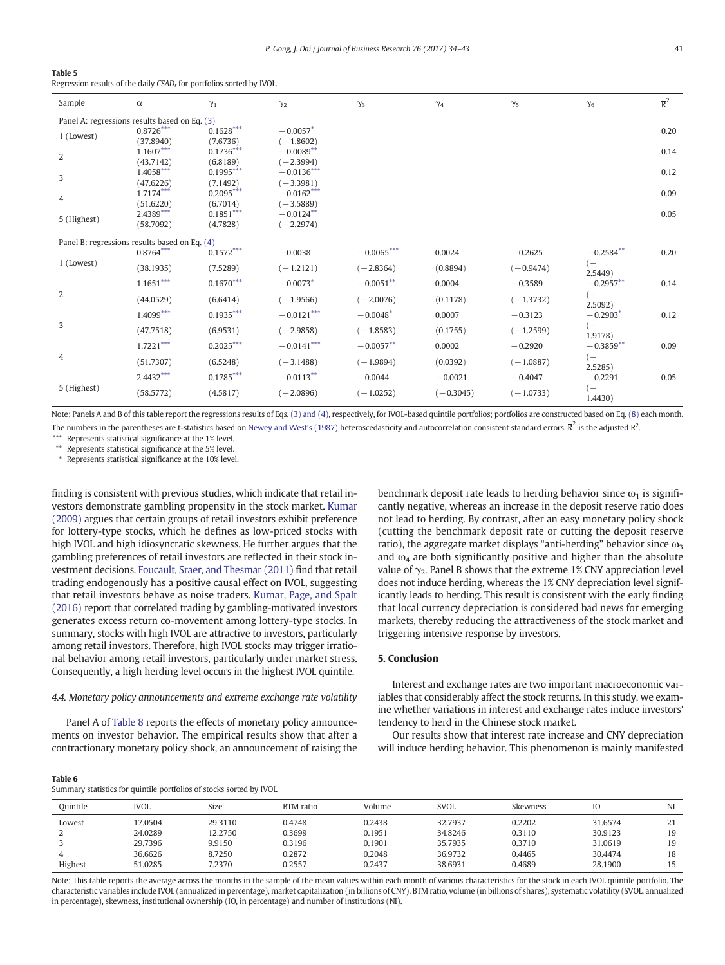#### <span id="page-7-0"></span>Table 5

Regression results of the daily  $CSAD_t$  for portfolios sorted by IVOL.

| Sample         | $\alpha$                                                     | $\gamma_1$              | $\gamma_2$                 | $\gamma_3$             | $\gamma_4$  | $\gamma_5$  | $\gamma_6$      | $\overline{\mathrm{R}}^2$ |
|----------------|--------------------------------------------------------------|-------------------------|----------------------------|------------------------|-------------|-------------|-----------------|---------------------------|
|                | Panel A: regressions results based on Eq. (3)                |                         |                            |                        |             |             |                 |                           |
| 1 (Lowest)     | $0.8726***$                                                  | $0.1628^{***}$          | $-0.0057$ <sup>*</sup>     |                        |             |             |                 | 0.20                      |
|                | (37.8940)<br>$1.1607***$                                     | (7.6736)<br>$0.1736***$ | $(-1.8602)$<br>$-0.0089**$ |                        |             |             |                 | 0.14                      |
| $\overline{2}$ | (43.7142)                                                    | (6.8189)                | $(-2.3994)$                |                        |             |             |                 |                           |
|                | $1.4058***$                                                  | $0.1995***$             | $-0.0136***$               |                        |             |             |                 | 0.12                      |
| 3              | (47.6226)                                                    | (7.1492)                | $(-3.3981)$                |                        |             |             |                 |                           |
| 4              | $1.7174***$                                                  | $0.2095***$             | $-0.0162***$               |                        |             |             |                 | 0.09                      |
|                | (51.6220)<br>2.4389***                                       | (6.7014)<br>$0.1851***$ | $(-3.5889)$<br>$-0.0124**$ |                        |             |             |                 | 0.05                      |
| 5 (Highest)    | (58,7092)                                                    | (4.7828)                | $(-2.2974)$                |                        |             |             |                 |                           |
|                |                                                              |                         |                            |                        |             |             |                 |                           |
|                | Panel B: regressions results based on Eq. (4)<br>$0.8764***$ | $0.1572^{***}$          | $-0.0038$                  | $-0.0065***$           | 0.0024      | $-0.2625$   | $-0.2584**$     | 0.20                      |
| 1 (Lowest)     |                                                              |                         |                            |                        |             |             | $(-$            |                           |
|                | (38.1935)                                                    | (7.5289)                | $(-1.2121)$                | $(-2.8364)$            | (0.8894)    | $(-0.9474)$ | 2.5449)         |                           |
|                | $1.1651***$                                                  | $0.1670***$             | $-0.0073*$                 | $-0.0051***$           | 0.0004      | $-0.3589$   | $-0.2957**$     | 0.14                      |
| 2              | (44.0529)                                                    | (6.6414)                | $(-1.9566)$                | $(-2.0076)$            | (0.1178)    | $(-1.3732)$ | $(-$<br>2.5092) |                           |
|                | $1.4099***$                                                  | $0.1935***$             | $-0.0121***$               | $-0.0048$ <sup>*</sup> | 0.0007      | $-0.3123$   | $-0.2903*$      | 0.12                      |
| 3              | (47.7518)                                                    | (6.9531)                | $(-2.9858)$                | $(-1.8583)$            | (0.1755)    | $(-1.2599)$ | $(-$<br>1.9178) |                           |
|                | $1.7221***$                                                  | $0.2025***$             | $-0.0141***$               | $-0.0057**$            | 0.0002      | $-0.2920$   | $-0.3859**$     | 0.09                      |
| 4              | (51.7307)                                                    | (6.5248)                | $(-3.1488)$                | $(-1.9894)$            | (0.0392)    | $(-1.0887)$ | $(-$<br>2.5285) |                           |
|                | $2.4432***$                                                  | $0.1785^{***}$          | $-0.0113***$               | $-0.0044$              | $-0.0021$   | $-0.4047$   | $-0.2291$       | 0.05                      |
| 5 (Highest)    | (58.5772)                                                    | (4.5817)                | $(-2.0896)$                | $(-1.0252)$            | $(-0.3045)$ | $(-1.0733)$ | $(-$<br>1.4430) |                           |

Note: Panels A and B of this table report the regressions results of Eqs. [\(3\) and \(4\)](#page-2-0), respectively, for IVOL-based quintile portfolios; portfolios are constructed based on Eq. [\(8\)](#page-2-0) each month. The numbers in the parentheses are t-statistics based on [Newey and West's \(1987\)](#page-9-0) heteroscedasticity and autocorrelation consistent standard errors.  $\overline{\mathrm{R}}^2$  is the adjusted  $\mathrm{R}^2$ .

Represents statistical significance at the 1% level.

⁎⁎ Represents statistical significance at the 5% level.

⁎ Represents statistical significance at the 10% level.

finding is consistent with previous studies, which indicate that retail investors demonstrate gambling propensity in the stock market. [Kumar](#page-9-0) [\(2009\)](#page-9-0) argues that certain groups of retail investors exhibit preference for lottery-type stocks, which he defines as low-priced stocks with high IVOL and high idiosyncratic skewness. He further argues that the gambling preferences of retail investors are reflected in their stock investment decisions. [Foucault, Sraer, and Thesmar \(2011\)](#page-9-0) find that retail trading endogenously has a positive causal effect on IVOL, suggesting that retail investors behave as noise traders. [Kumar, Page, and Spalt](#page-9-0) [\(2016\)](#page-9-0) report that correlated trading by gambling-motivated investors generates excess return co-movement among lottery-type stocks. In summary, stocks with high IVOL are attractive to investors, particularly among retail investors. Therefore, high IVOL stocks may trigger irrational behavior among retail investors, particularly under market stress. Consequently, a high herding level occurs in the highest IVOL quintile.

#### 4.4. Monetary policy announcements and extreme exchange rate volatility

Panel A of [Table 8](#page-8-0) reports the effects of monetary policy announcements on investor behavior. The empirical results show that after a contractionary monetary policy shock, an announcement of raising the benchmark deposit rate leads to herding behavior since  $\omega_1$  is significantly negative, whereas an increase in the deposit reserve ratio does not lead to herding. By contrast, after an easy monetary policy shock (cutting the benchmark deposit rate or cutting the deposit reserve ratio), the aggregate market displays "anti-herding" behavior since  $\omega_3$ and  $\omega_4$  are both significantly positive and higher than the absolute value of  $\gamma_2$ . Panel B shows that the extreme 1% CNY appreciation level does not induce herding, whereas the 1% CNY depreciation level significantly leads to herding. This result is consistent with the early finding that local currency depreciation is considered bad news for emerging markets, thereby reducing the attractiveness of the stock market and triggering intensive response by investors.

#### 5. Conclusion

Interest and exchange rates are two important macroeconomic variables that considerably affect the stock returns. In this study, we examine whether variations in interest and exchange rates induce investors' tendency to herd in the Chinese stock market.

Our results show that interest rate increase and CNY depreciation will induce herding behavior. This phenomenon is mainly manifested

#### Table 6

Summary statistics for quintile portfolios of stocks sorted by IVOL.

| Ouintile | <b>IVOL</b> | Size    | BTM ratio | Volume | <b>SVOL</b> | Skewness | IO      | NI        |
|----------|-------------|---------|-----------|--------|-------------|----------|---------|-----------|
| Lowest   | 17.0504     | 29.3110 | 0.4748    | 0.2438 | 32.7937     | 0.2202   | 31.6574 | 21<br>ر ے |
|          | 24.0289     | 12.2750 | 0.3699    | 0.1951 | 34.8246     | 0.3110   | 30.9123 | 19        |
|          | 29.7396     | 9.9150  | 0.3196    | 0.1901 | 35.7935     | 0.3710   | 31.0619 | 19        |
|          | 36.6626     | 8.7250  | 0.2872    | 0.2048 | 36.9732     | 0.4465   | 30.4474 | 18        |
| Highest  | 51.0285     | 7.2370  | 0.2557    | 0.2437 | 38.6931     | 0.4689   | 28.1900 | 15        |

Note: This table reports the average across the months in the sample of the mean values within each month of various characteristics for the stock in each IVOL quintile portfolio. The characteristic variables include IVOL (annualized in percentage), market capitalization (in billions of CNY), BTM ratio, volume (in billions of shares), systematic volatility (SVOL, annualized in percentage), skewness, institutional ownership (IO, in percentage) and number of institutions (NI).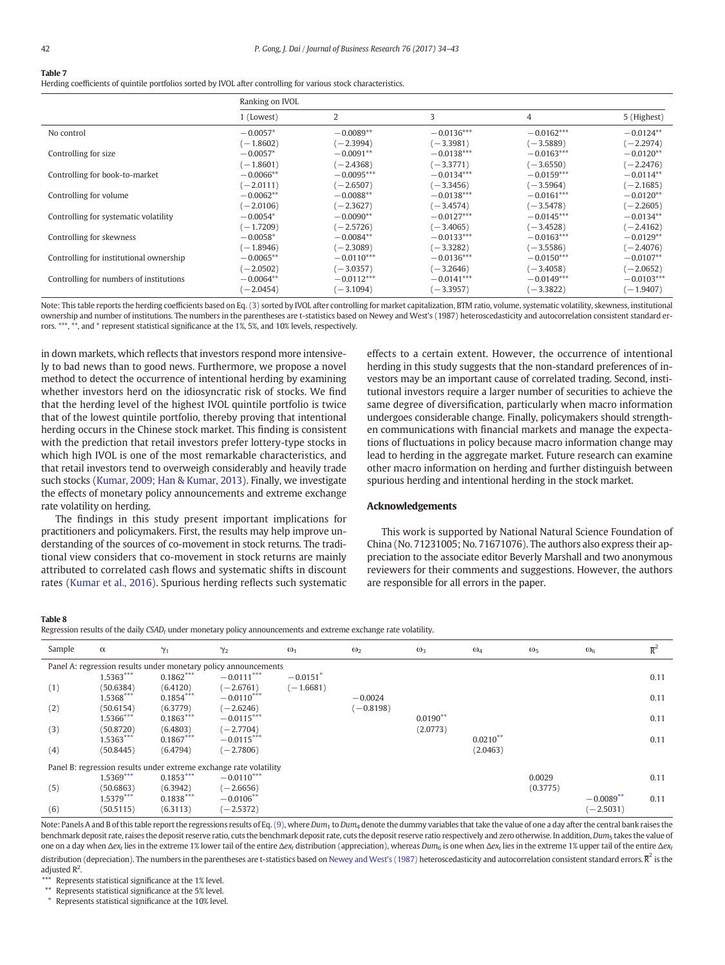#### <span id="page-8-0"></span>Table 7

Herding coefficients of quintile portfolios sorted by IVOL after controlling for various stock characteristics.

| Ranking on IVOL |              |              |              |              |
|-----------------|--------------|--------------|--------------|--------------|
| 1 (Lowest)      | 2            | 3            | 4            | 5 (Highest)  |
| $-0.0057*$      | $-0.0089**$  | $-0.0136***$ | $-0.0162***$ | $-0.0124**$  |
| $(-1.8602)$     | $(-2.3994)$  | $(-3.3981)$  | $(-3.5889)$  | $(-2.2974)$  |
| $-0.0057*$      | $-0.0091**$  | $-0.0138***$ | $-0.0163***$ | $-0.0120**$  |
| $(-1.8601)$     | $(-2.4368)$  | $(-3.3771)$  | $(-3.6550)$  | $(-2.2476)$  |
| $-0.0066**$     | $-0.0095***$ | $-0.0134***$ | $-0.0159***$ | $-0.0114**$  |
| $(-2.0111)$     | $(-2.6507)$  | $(-3.3456)$  | $(-3.5964)$  | $(-2.1685)$  |
| $-0.0062**$     | $-0.0088**$  | $-0.0138***$ | $-0.0161***$ | $-0.0120**$  |
| $(-2.0106)$     | $(-2.3627)$  | $(-3.4574)$  | $-3.5478$    | $(-2.2605)$  |
| $-0.0054*$      | $-0.0090**$  | $-0.0127***$ | $-0.0145***$ | $-0.0134**$  |
| $(-1.7209)$     | $(-2.5726)$  | $(-3.4065)$  | $-3.4528$    | $(-2.4162)$  |
| $-0.0058*$      | $-0.0084**$  | $-0.0133***$ | $-0.0163***$ | $-0.0129**$  |
| $(-1.8946)$     | $(-2.3089)$  | $(-3.3282)$  | $(-3.5586)$  | $(-2.4076)$  |
| $-0.0065***$    | $-0.0110***$ | $-0.0136***$ | $-0.0150***$ | $-0.0107**$  |
| $(-2.0502)$     | $(-3.0357)$  | $(-3.2646)$  | $-3.4058$    | $(-2.0652)$  |
| $-0.0064**$     | $-0.0112***$ | $-0.0141***$ | $-0.0149***$ | $-0.0103***$ |
| $(-2.0454)$     | $(-3.1094)$  | $(-3.3957)$  | $-3.3822$    | $(-1.9407)$  |
|                 |              |              |              |              |

Note: This table reports the herding coefficients based on Eq. [\(3\)](#page-2-0) sorted by IVOL after controlling for market capitalization, BTM ratio, volume, systematic volatility, skewness, institutional ownership and number of institutions. The numbers in the parentheses are t-statistics based on Newey and West's (1987) heteroscedasticity and autocorrelation consistent standard errors. \*\*\*, \*\*, and \* represent statistical significance at the 1%, 5%, and 10% levels, respectively.

in down markets, which reflects that investors respond more intensively to bad news than to good news. Furthermore, we propose a novel method to detect the occurrence of intentional herding by examining whether investors herd on the idiosyncratic risk of stocks. We find that the herding level of the highest IVOL quintile portfolio is twice that of the lowest quintile portfolio, thereby proving that intentional herding occurs in the Chinese stock market. This finding is consistent with the prediction that retail investors prefer lottery-type stocks in which high IVOL is one of the most remarkable characteristics, and that retail investors tend to overweigh considerably and heavily trade such stocks [\(Kumar, 2009; Han & Kumar, 2013](#page-9-0)). Finally, we investigate the effects of monetary policy announcements and extreme exchange rate volatility on herding.

The findings in this study present important implications for practitioners and policymakers. First, the results may help improve understanding of the sources of co-movement in stock returns. The traditional view considers that co-movement in stock returns are mainly attributed to correlated cash flows and systematic shifts in discount rates ([Kumar et al., 2016\)](#page-9-0). Spurious herding reflects such systematic

effects to a certain extent. However, the occurrence of intentional herding in this study suggests that the non-standard preferences of investors may be an important cause of correlated trading. Second, institutional investors require a larger number of securities to achieve the same degree of diversification, particularly when macro information undergoes considerable change. Finally, policymakers should strengthen communications with financial markets and manage the expectations of fluctuations in policy because macro information change may lead to herding in the aggregate market. Future research can examine other macro information on herding and further distinguish between spurious herding and intentional herding in the stock market.

#### Acknowledgements

This work is supported by National Natural Science Foundation of China (No. 71231005; No. 71671076). The authors also express their appreciation to the associate editor Beverly Marshall and two anonymous reviewers for their comments and suggestions. However, the authors are responsible for all errors in the paper.

#### Table 8

Regression results of the daily  $CSAD<sub>t</sub>$  under monetary policy announcements and extreme exchange rate volatility.

| Sample | $\alpha$    | $\gamma_1$  | $\gamma_2$                                                         | $\omega_1$             | $\omega_2$  | $\omega_3$ | $\omega_4$ | $\omega_5$ | $\omega_{6}$   | $\overline{R}^2$ |
|--------|-------------|-------------|--------------------------------------------------------------------|------------------------|-------------|------------|------------|------------|----------------|------------------|
|        |             |             | Panel A: regression results under monetary policy announcements    |                        |             |            |            |            |                |                  |
|        | $1.5363***$ | $0.1862***$ | $-0.0111***$                                                       | $-0.0151$ <sup>*</sup> |             |            |            |            |                | 0.11             |
| (1)    | (50.6384)   | (6.4120)    | $(-2.6761)$                                                        | $(-1.6681)$            |             |            |            |            |                |                  |
|        | $1.5368***$ | $0.1854***$ | $-0.0110***$                                                       |                        | $-0.0024$   |            |            |            |                | 0.11             |
| (2)    | (50.6154)   | (6.3779)    | $(-2.6246)$                                                        |                        | $(-0.8198)$ |            |            |            |                |                  |
|        | $1.5366***$ | $0.1863***$ | $-0.0115***$                                                       |                        |             | $0.0190**$ |            |            |                | 0.11             |
| (3)    | (50.8720)   | (6.4803)    | $(-2.7704)$                                                        |                        |             | (2.0773)   |            |            |                |                  |
|        | $1.5363***$ | $0.1867***$ | $-0.0115***$                                                       |                        |             |            | $0.0210**$ |            |                | 0.11             |
| (4)    | (50.8445)   | (6.4794)    | $(-2.7806)$                                                        |                        |             |            | (2.0463)   |            |                |                  |
|        |             |             | Panel B: regression results under extreme exchange rate volatility |                        |             |            |            |            |                |                  |
|        | $1.5369***$ | $0.1853***$ | $-0.0110***$                                                       |                        |             |            |            | 0.0029     |                | 0.11             |
| (5)    | (50.6863)   | (6.3942)    | $(-2.6656)$                                                        |                        |             |            |            | (0.3775)   |                |                  |
|        | $1.5379***$ | $0.1838***$ | $-0.0106***$                                                       |                        |             |            |            |            | $-0.0089^{**}$ | 0.11             |
| (6)    | (50.5115)   | (6.3113)    | $(-2.5372)$                                                        |                        |             |            |            |            | $(-2.5031)$    |                  |

Note: Panels A and B of this table report the regressions results of Eq. [\(9\),](#page-3-0) where  $Dum_1$  to  $Dum_4$  denote the dummy variables that take the value of one a day after the central bank raises the benchmark deposit rate, raises the deposit reserve ratio, cuts the benchmark deposit rate, cuts the deposit reserve ratio respectively and zero otherwise. In addition, Dum<sub>5</sub> takes the value of one on a day when Δex<sub>t</sub> lies in the extreme 1% lower tail of the entire Δex<sub>t</sub> distribution (appreciation), whereas Dum<sub>6</sub> is one when Δex<sub>t</sub> lies in the extreme 1% upper tail of the entire Δex<sub>t</sub> distribution (depreciation). The numbers in the parentheses are t-statistics based on [Newey and West's \(1987\)](#page-9-0) heteroscedasticity and autocorrelation consistent standard errors.  $\overline{R}^2$  is the

adjusted  $R^2$ . Represents statistical significance at the 1% level.

⁎⁎ Represents statistical significance at the 5% level.

⁎ Represents statistical significance at the 10% level.